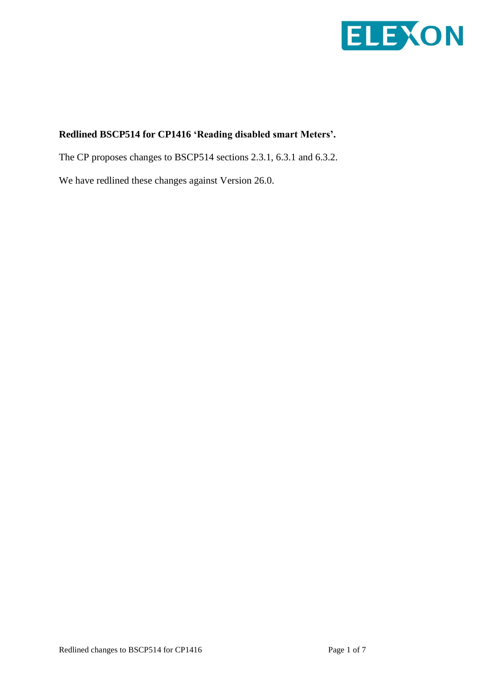

## **Redlined BSCP514 for CP1416 'Reading disabled smart Meters'.**

The CP proposes changes to BSCP514 sections 2.3.1, 6.3.1 and 6.3.2.

We have redlined these changes against Version 26.0.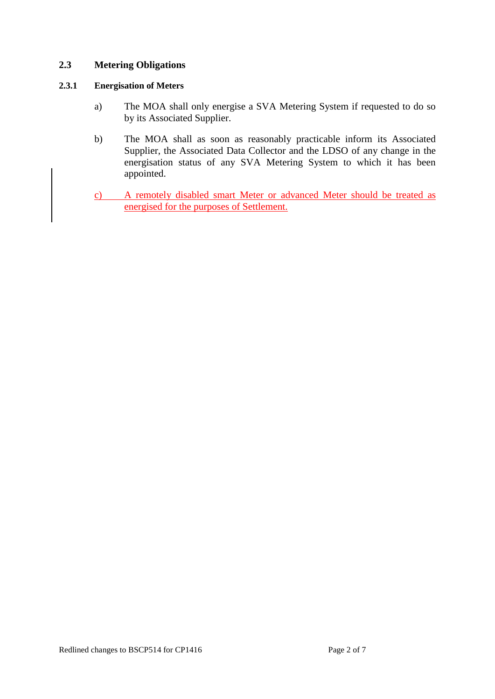### **2.3 Metering Obligations**

#### **2.3.1 Energisation of Meters**

- a) The MOA shall only energise a SVA Metering System if requested to do so by its Associated Supplier.
- b) The MOA shall as soon as reasonably practicable inform its Associated Supplier, the Associated Data Collector and the LDSO of any change in the energisation status of any SVA Metering System to which it has been appointed.
- c) A remotely disabled smart Meter or advanced Meter should be treated as energised for the purposes of Settlement.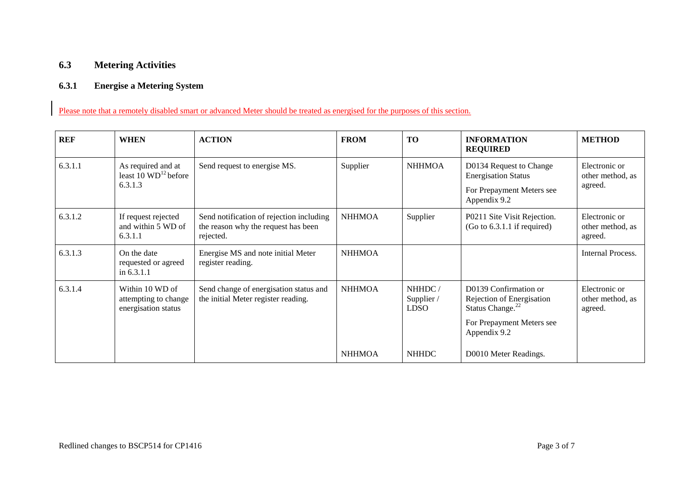## **6.3 Metering Activities**

#### **6.3.1 Energise a Metering System**

Please note that a remotely disabled smart or advanced Meter should be treated as energised for the purposes of this section.

| <b>REF</b> | <b>WHEN</b>                                                        | <b>ACTION</b>                                                                                | <b>FROM</b>   | TO                                  | <b>INFORMATION</b><br><b>REQUIRED</b>                                              | <b>METHOD</b>                                |
|------------|--------------------------------------------------------------------|----------------------------------------------------------------------------------------------|---------------|-------------------------------------|------------------------------------------------------------------------------------|----------------------------------------------|
| 6.3.1.1    | As required and at<br>least $10 \text{ WD}^{12}$ before<br>6.3.1.3 | Send request to energise MS.                                                                 | Supplier      | <b>NHHMOA</b>                       | D0134 Request to Change<br><b>Energisation Status</b>                              | Electronic or<br>other method, as<br>agreed. |
|            |                                                                    |                                                                                              |               |                                     | For Prepayment Meters see<br>Appendix 9.2                                          |                                              |
| 6.3.1.2    | If request rejected<br>and within 5 WD of<br>6.3.1.1               | Send notification of rejection including<br>the reason why the request has been<br>rejected. | <b>NHHMOA</b> | Supplier                            | P0211 Site Visit Rejection.<br>$(Go to 6.3.1.1$ if required)                       | Electronic or<br>other method, as<br>agreed. |
| 6.3.1.3    | On the date<br>requested or agreed<br>in $6.3.1.1$                 | Energise MS and note initial Meter<br>register reading.                                      | <b>NHHMOA</b> |                                     |                                                                                    | <b>Internal Process.</b>                     |
| 6.3.1.4    | Within 10 WD of<br>attempting to change<br>energisation status     | Send change of energisation status and<br>the initial Meter register reading.                | <b>NHHMOA</b> | NHHDC/<br>Supplier /<br><b>LDSO</b> | D0139 Confirmation or<br>Rejection of Energisation<br>Status Change. <sup>22</sup> | Electronic or<br>other method, as<br>agreed. |
|            |                                                                    |                                                                                              |               |                                     | For Prepayment Meters see<br>Appendix 9.2                                          |                                              |
|            |                                                                    |                                                                                              | <b>NHHMOA</b> | <b>NHHDC</b>                        | D0010 Meter Readings.                                                              |                                              |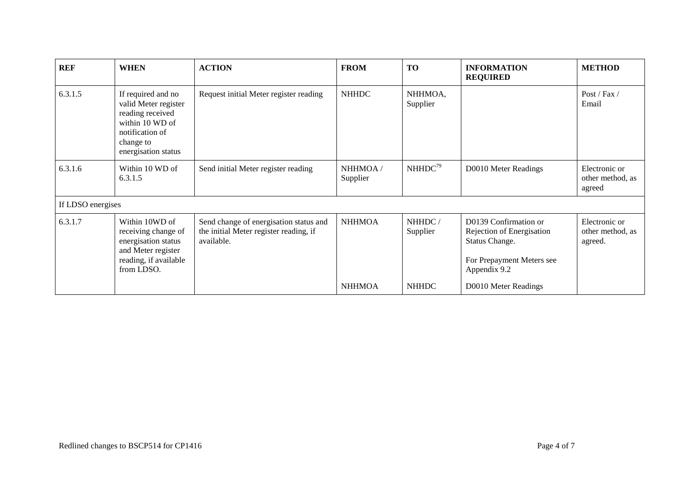| <b>REF</b>        | <b>WHEN</b>                                                                                                                              | <b>ACTION</b>                                                                                  | <b>FROM</b>         | <b>TO</b>           | <b>INFORMATION</b><br><b>REQUIRED</b>                                                                             | <b>METHOD</b>                                |
|-------------------|------------------------------------------------------------------------------------------------------------------------------------------|------------------------------------------------------------------------------------------------|---------------------|---------------------|-------------------------------------------------------------------------------------------------------------------|----------------------------------------------|
| 6.3.1.5           | If required and no<br>valid Meter register<br>reading received<br>within 10 WD of<br>notification of<br>change to<br>energisation status | Request initial Meter register reading                                                         | <b>NHHDC</b>        | NHHMOA,<br>Supplier |                                                                                                                   | Post / Fax /<br>Email                        |
| 6.3.1.6           | Within 10 WD of<br>6.3.1.5                                                                                                               | Send initial Meter register reading                                                            | NHHMOA/<br>Supplier | NHHDC <sup>79</sup> | D0010 Meter Readings                                                                                              | Electronic or<br>other method, as<br>agreed  |
| If LDSO energises |                                                                                                                                          |                                                                                                |                     |                     |                                                                                                                   |                                              |
| 6.3.1.7           | Within 10WD of<br>receiving change of<br>energisation status<br>and Meter register<br>reading, if available<br>from LDSO.                | Send change of energisation status and<br>the initial Meter register reading, if<br>available. | <b>NHHMOA</b>       | NHHDC/<br>Supplier  | D0139 Confirmation or<br>Rejection of Energisation<br>Status Change.<br>For Prepayment Meters see<br>Appendix 9.2 | Electronic or<br>other method, as<br>agreed. |
|                   |                                                                                                                                          |                                                                                                | <b>NHHMOA</b>       | <b>NHHDC</b>        | D0010 Meter Readings                                                                                              |                                              |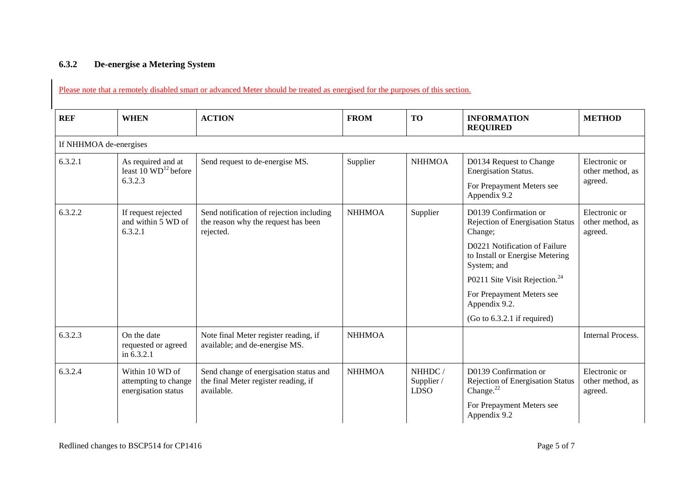# **6.3.2 De-energise a Metering System**

| <b>REF</b> | <b>WHEN</b>                                                    | <b>ACTION</b>                                                                                | <b>FROM</b>   | <b>TO</b>                           | <b>INFORMATION</b><br><b>REQUIRED</b>                                              | <b>METHOD</b>                                |
|------------|----------------------------------------------------------------|----------------------------------------------------------------------------------------------|---------------|-------------------------------------|------------------------------------------------------------------------------------|----------------------------------------------|
|            | If NHHMOA de-energises                                         |                                                                                              |               |                                     |                                                                                    |                                              |
| 6.3.2.1    | As required and at<br>least $10 \text{ WD}^{12}$ before        | Send request to de-energise MS.                                                              | Supplier      | <b>NHHMOA</b>                       | D0134 Request to Change<br>Energisation Status.                                    | Electronic or<br>other method, as<br>agreed. |
|            | 6.3.2.3                                                        |                                                                                              |               |                                     | For Prepayment Meters see<br>Appendix 9.2                                          |                                              |
| 6.3.2.2    | If request rejected<br>and within 5 WD of<br>6.3.2.1           | Send notification of rejection including<br>the reason why the request has been<br>rejected. | <b>NHHMOA</b> | Supplier                            | D0139 Confirmation or<br><b>Rejection of Energisation Status</b><br>Change;        | Electronic or<br>other method, as<br>agreed. |
|            |                                                                |                                                                                              |               |                                     | D0221 Notification of Failure<br>to Install or Energise Metering<br>System; and    |                                              |
|            |                                                                |                                                                                              |               |                                     | P0211 Site Visit Rejection. <sup>24</sup>                                          |                                              |
|            |                                                                |                                                                                              |               |                                     | For Prepayment Meters see<br>Appendix 9.2.                                         |                                              |
|            |                                                                |                                                                                              |               |                                     | $(Go to 6.3.2.1$ if required)                                                      |                                              |
| 6.3.2.3    | On the date<br>requested or agreed<br>in 6.3.2.1               | Note final Meter register reading, if<br>available; and de-energise MS.                      | <b>NHHMOA</b> |                                     |                                                                                    | <b>Internal Process.</b>                     |
| 6.3.2.4    | Within 10 WD of<br>attempting to change<br>energisation status | Send change of energisation status and<br>the final Meter register reading, if<br>available. | <b>NHHMOA</b> | NHHDC/<br>Supplier /<br><b>LDSO</b> | D0139 Confirmation or<br>Rejection of Energisation Status<br>Change. <sup>22</sup> | Electronic or<br>other method, as<br>agreed. |
|            |                                                                |                                                                                              |               |                                     | For Prepayment Meters see<br>Appendix 9.2                                          |                                              |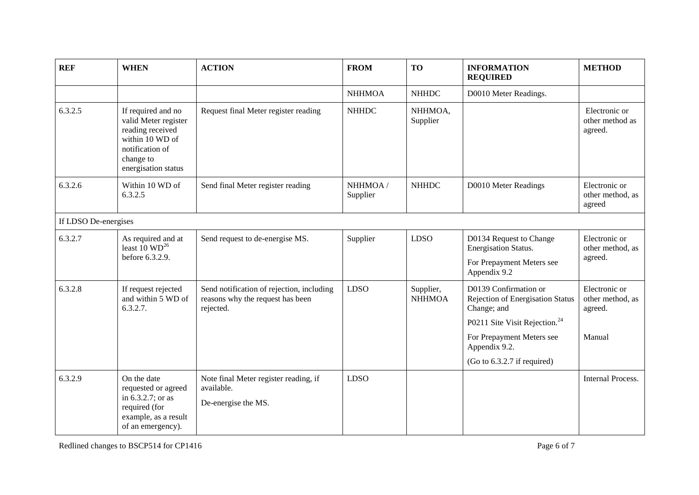| <b>REF</b>           | <b>WHEN</b>                                                                                                                              | <b>ACTION</b>                                                                              | <b>FROM</b>          | <b>TO</b>                  | <b>INFORMATION</b><br><b>REQUIRED</b>                                    | <b>METHOD</b>                                |
|----------------------|------------------------------------------------------------------------------------------------------------------------------------------|--------------------------------------------------------------------------------------------|----------------------|----------------------------|--------------------------------------------------------------------------|----------------------------------------------|
|                      |                                                                                                                                          |                                                                                            | <b>NHHMOA</b>        | <b>NHHDC</b>               | D0010 Meter Readings.                                                    |                                              |
| 6.3.2.5              | If required and no<br>valid Meter register<br>reading received<br>within 10 WD of<br>notification of<br>change to<br>energisation status | Request final Meter register reading                                                       | <b>NHHDC</b>         | NHHMOA,<br>Supplier        |                                                                          | Electronic or<br>other method as<br>agreed.  |
| 6.3.2.6              | Within 10 WD of<br>6.3.2.5                                                                                                               | Send final Meter register reading                                                          | NHHMOA /<br>Supplier | <b>NHHDC</b>               | D0010 Meter Readings                                                     | Electronic or<br>other method, as<br>agreed  |
| If LDSO De-energises |                                                                                                                                          |                                                                                            |                      |                            |                                                                          |                                              |
| 6.3.2.7              | As required and at<br>least $10 \text{ WD}^{26}$<br>before 6.3.2.9.                                                                      | Send request to de-energise MS.                                                            | Supplier             | <b>LDSO</b>                | D0134 Request to Change<br>Energisation Status.                          | Electronic or<br>other method, as<br>agreed. |
|                      |                                                                                                                                          |                                                                                            |                      |                            | For Prepayment Meters see<br>Appendix 9.2                                |                                              |
| 6.3.2.8              | If request rejected<br>and within 5 WD of<br>6.3.2.7.                                                                                    | Send notification of rejection, including<br>reasons why the request has been<br>rejected. | <b>LDSO</b>          | Supplier,<br><b>NHHMOA</b> | D0139 Confirmation or<br>Rejection of Energisation Status<br>Change; and | Electronic or<br>other method, as<br>agreed. |
|                      |                                                                                                                                          |                                                                                            |                      |                            | P0211 Site Visit Rejection. <sup>24</sup>                                |                                              |
|                      |                                                                                                                                          |                                                                                            |                      |                            | For Prepayment Meters see<br>Appendix 9.2.                               | Manual                                       |
|                      |                                                                                                                                          |                                                                                            |                      |                            | (Go to 6.3.2.7 if required)                                              |                                              |
| 6.3.2.9              | On the date<br>requested or agreed<br>in $6.3.2.7$ ; or as<br>required (for<br>example, as a result<br>of an emergency).                 | Note final Meter register reading, if<br>available.                                        | <b>LDSO</b>          |                            |                                                                          | <b>Internal Process.</b>                     |
|                      |                                                                                                                                          | De-energise the MS.                                                                        |                      |                            |                                                                          |                                              |